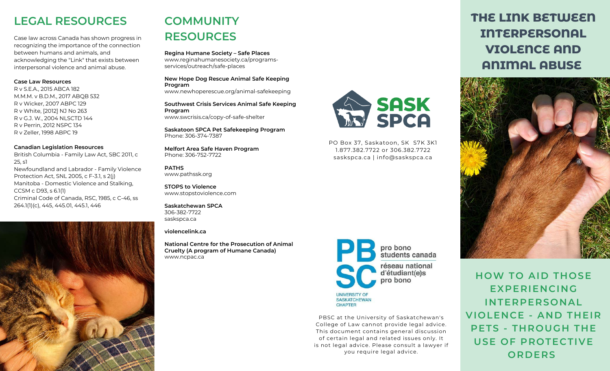## **LEGAL RESOURCES COMMUNITY**

Case law across Canada has shown progress in recognizing the importance of the connection between humans and animals, and acknowledging the "Link" that exists between interpersonal violence and animal abuse.

#### **Case Law Resources**

R v S.E.A., 2015 ABCA 182 M.M.M. v B.D.M., 2017 ABQB 532 R v Wicker, 2007 ABPC 129 R v White, [2012] NJ No 263 R v G.J. W., 2004 NLSCTD 144 R v Perrin, 2012 NSPC 134 R v Zeller, 1998 ABPC 19

#### **Canadian Legislation Resources**

British Columbia - Family Law Act, SBC 2011, c 25, s1 Newfoundland and Labrador - Family Violence Protection Act, SNL 2005, c F-3.1, s 2(j) Manitoba - Domestic Violence and Stalking, CCSM c D93, s 6.1(1)

Criminal Code of Canada, RSC, 1985, c C-46, ss 264.1(1)(c), 445, 445.01, 445.1, 446



# **RESOURCES**

**Regina Humane Society – Safe Places** www.reginahumanesociety.ca/programsservices/outreach/safe-places

**New Hope Dog Rescue Animal Safe Keeping Program** www.newhoperescue.org/animal-safekeeping

**Southwest Crisis Services Animal Safe Keeping Program** www.swcrisis.ca/copy-of-safe-shelter

**Saskatoon SPCA Pet Safekeeping Program**  Phone: 306-374-7387

**Melfort Area Safe Haven Program** Phone: 306-752-7722

**PATHS** www.pathssk.org

**STOPS to Violence** www.stopstoviolence.com

**Saskatchewan SPCA** 306-382-7722 saskspca.ca

### **violencelink.ca**

**National Centre for the Prosecution of Animal Cruelty (A program of Humane Canada)**  www.ncpac.ca

> **SASKATCHEWAN CHAPTER**

PBSC at the University of Saskatchewan's College of Law cannot provide legal advice. This document contains general discussion of certain legal and related issues only. It is not legal advice. Please consult a lawyer if you require legal advice.

## **THE LINK BETWEEN INTERPERSONAL VIOLENCE AND ANIMAL ABUSE**



**HOW TO AID THOSE EXPERIENCING INTERPERSONAL VIOLENCE - AND THEIR PETS - THROUGH THE USE OF PROTECTIVE ORDERS**



PO Box 37, Saskatoon, SK S7K 3K1 1.877.382.7722 or 306.382.7722 saskspca.ca | info@saskspca.ca

pro bono students canada réseau national d'étudiant(e)s pro bono **UNIVERSITY OF**